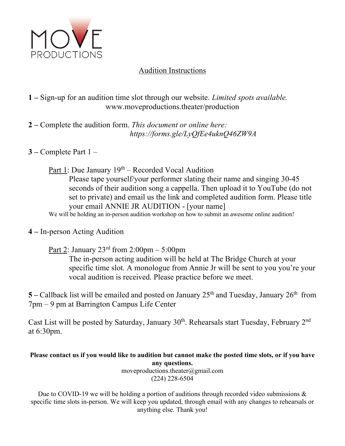

## Audition Instructions

## **1 –** Sign-up for an audition time slot through our website. *Limited spots available.* www.moveproductions.theater/production

**2 –** Complete the audition form. *This document or online here: https://forms.gle/LyQfEe4uknQ46ZW9A*

**3 –** Complete Part 1 –

Part 1: Due January  $19<sup>th</sup>$  – Recorded Vocal Audition Please tape yourself/your performer slating their name and singing 30-45 seconds of their audition song a cappella. Then upload it to YouTube (do not set to private) and email us the link and completed audition form. Please title your email ANNIE JR AUDITION - [your name] We will be holding an in-person audition workshop on how to submit an awesome online audition!

**4 –** In-person Acting Audition

Part 2: January  $23<sup>rd</sup>$  from  $2:00<sub>pm</sub> - 5:00<sub>pm</sub>$ 

The in-person acting audition will be held at The Bridge Church at your specific time slot. A monologue from Annie Jr will be sent to you you're your vocal audition is received. Please practice before we meet.

5 – Callback list will be emailed and posted on January 25<sup>th</sup> and Tuesday, January 26<sup>th</sup> from 7pm – 9 pm at Barrington Campus Life Center

Cast List will be posted by Saturday, January  $30<sup>th</sup>$ . Rehearsals start Tuesday, February  $2<sup>nd</sup>$ at 6:30pm.

**Please contact us if you would like to audition but cannot make the posted time slots, or if you have any questions.**

moveproductions.theater@gmail.com (224) 228-6504

Due to COVID-19 we will be holding a portion of auditions through recorded video submissions  $\&$ specific time slots in-person. We will keep you updated, through email with any changes to rehearsals or anything else. Thank you!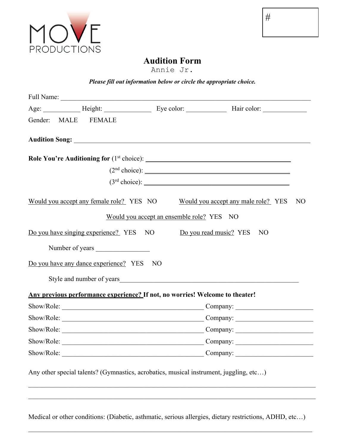

# **Audition Form**

Annie Jr.

### *Please fill out information below or circle the appropriate choice.*

|  |  | Gender: MALE FEMALE                      |                                                                              |                                                                                                                                                                                                                               |    |  |
|--|--|------------------------------------------|------------------------------------------------------------------------------|-------------------------------------------------------------------------------------------------------------------------------------------------------------------------------------------------------------------------------|----|--|
|  |  |                                          |                                                                              |                                                                                                                                                                                                                               |    |  |
|  |  |                                          |                                                                              | Audition Song: 2008 and 2008 and 2008 and 2008 and 2008 and 2008 and 2008 and 2008 and 2008 and 2008 and 2008 and 2008 and 2008 and 2008 and 2008 and 2008 and 2008 and 2008 and 2008 and 2008 and 2008 and 2008 and 2008 and |    |  |
|  |  |                                          |                                                                              |                                                                                                                                                                                                                               |    |  |
|  |  |                                          |                                                                              |                                                                                                                                                                                                                               |    |  |
|  |  |                                          |                                                                              |                                                                                                                                                                                                                               |    |  |
|  |  | Would you accept any female role? YES NO |                                                                              | Would you accept any male role? YES                                                                                                                                                                                           | NO |  |
|  |  |                                          | Would you accept an ensemble role? YES NO                                    |                                                                                                                                                                                                                               |    |  |
|  |  |                                          | Do you have singing experience? YES NO Do you read music? YES                | NO                                                                                                                                                                                                                            |    |  |
|  |  | Number of years                          |                                                                              |                                                                                                                                                                                                                               |    |  |
|  |  | Do you have any dance experience? YES    | N <sub>O</sub>                                                               |                                                                                                                                                                                                                               |    |  |
|  |  |                                          |                                                                              | Style and number of years Style and number of years                                                                                                                                                                           |    |  |
|  |  |                                          | Any previous performance experience? If not, no worries! Welcome to theater! |                                                                                                                                                                                                                               |    |  |
|  |  |                                          |                                                                              | Company:                                                                                                                                                                                                                      |    |  |
|  |  |                                          |                                                                              | Company:                                                                                                                                                                                                                      |    |  |
|  |  |                                          |                                                                              |                                                                                                                                                                                                                               |    |  |
|  |  |                                          |                                                                              | Show/Role: Company: Company:                                                                                                                                                                                                  |    |  |
|  |  |                                          |                                                                              | Company:                                                                                                                                                                                                                      |    |  |
|  |  |                                          |                                                                              | Any other special talents? (Gymnastics, acrobatics, musical instrument, juggling, etc)                                                                                                                                        |    |  |
|  |  |                                          |                                                                              |                                                                                                                                                                                                                               |    |  |

Medical or other conditions: (Diabetic, asthmatic, serious allergies, dietary restrictions, ADHD, etc…)